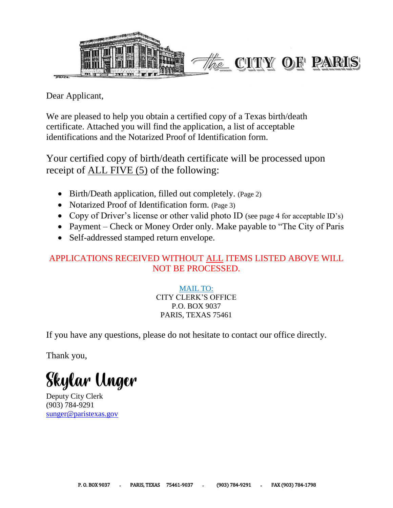

Dear Applicant,

We are pleased to help you obtain a certified copy of a Texas birth/death certificate. Attached you will find the application, a list of acceptable identifications and the Notarized Proof of Identification form.

Your certified copy of birth/death certificate will be processed upon receipt of ALL FIVE (5) of the following:

- Birth/Death application, filled out completely. (Page 2)
- Notarized Proof of Identification form. (Page 3)
- Copy of Driver's license or other valid photo ID (see page 4 for acceptable ID's)
- Payment Check or Money Order only. Make payable to "The City of Paris"
- Self-addressed stamped return envelope.

# APPLICATIONS RECEIVED WITHOUT ALL ITEMS LISTED ABOVE WILL NOT BE PROCESSED.

MAIL TO: CITY CLERK'S OFFICE P.O. BOX 9037 PARIS, TEXAS 75461

If you have any questions, please do not hesitate to contact our office directly.

Thank you,

Skylar Unger

Deputy City Clerk (903) 784-9291 [sunger@paristexas.gov](mailto:sunger@paristexas.gov)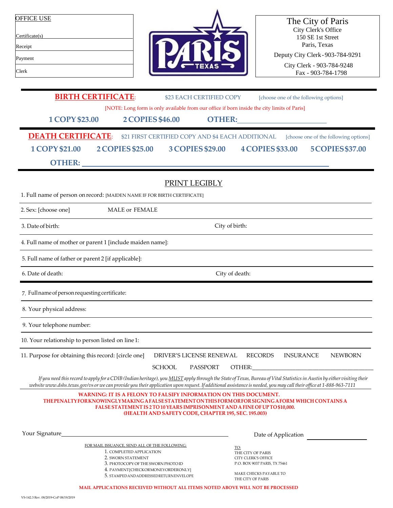| <b>OFFICE USE</b> |  |  |
|-------------------|--|--|
| Certificate(s)    |  |  |
| Receipt           |  |  |
| Payment           |  |  |
| Clerk             |  |  |



The City of Paris City Clerk's Office 150 SE 1st Street Paris, Texas

Deputy City Clerk-903-784-9291

City Clerk - 903-784-9248 Fax - 903-784-1798

| <b>BIRTH CERTIFICATE:</b>                                                                                                                                                                                                                                                                                                                      |                                                                                             | \$23 EACH CERTIFIED COPY |                                                                                                                                                                                                                                    | [choose one of the following options] |                                       |
|------------------------------------------------------------------------------------------------------------------------------------------------------------------------------------------------------------------------------------------------------------------------------------------------------------------------------------------------|---------------------------------------------------------------------------------------------|--------------------------|------------------------------------------------------------------------------------------------------------------------------------------------------------------------------------------------------------------------------------|---------------------------------------|---------------------------------------|
|                                                                                                                                                                                                                                                                                                                                                | [NOTE: Long form is only available from our office if born inside the city limits of Paris] |                          |                                                                                                                                                                                                                                    |                                       |                                       |
| <b>1 COPY \$23.00</b>                                                                                                                                                                                                                                                                                                                          | <b>2 COPIES \$46.00</b>                                                                     |                          | <b>OTHER:</b> THERE IS NOT THE RESIDENCE IN THE RESIDENCE IS NOT THE RESIDENCE IN THE RESIDENCE IS NOT THE RESIDENCE IN THE RESIDENCE IS NOT THE RESIDENCE IN THE RESIDENCE IS NOT THE RESIDENCE IN THE RESIDENCE IN THE RESIDENCE |                                       |                                       |
|                                                                                                                                                                                                                                                                                                                                                |                                                                                             |                          |                                                                                                                                                                                                                                    |                                       |                                       |
| <b>DEATH CERTIFICATE:</b>                                                                                                                                                                                                                                                                                                                      | \$21 FIRST CERTIFIED COPY AND \$4 EACH ADDITIONAL                                           |                          |                                                                                                                                                                                                                                    |                                       | [choose one of the following options] |
| <b>1 COPY \$21.00</b><br><b>2 COPIES \$25.00</b>                                                                                                                                                                                                                                                                                               |                                                                                             | 3 COPIES \$29.00         | <b>4 COPIES \$33.00</b>                                                                                                                                                                                                            |                                       | <b>5 COPIES \$37.00</b>               |
| <b>OTHER:</b>                                                                                                                                                                                                                                                                                                                                  |                                                                                             |                          |                                                                                                                                                                                                                                    |                                       |                                       |
|                                                                                                                                                                                                                                                                                                                                                |                                                                                             | PRINT LEGIBLY            |                                                                                                                                                                                                                                    |                                       |                                       |
| 1. Full name of person on record: [MAIDEN NAME IF FOR BIRTH CERTIFICATE]                                                                                                                                                                                                                                                                       |                                                                                             |                          |                                                                                                                                                                                                                                    |                                       |                                       |
| 2. Sex: [choose one]                                                                                                                                                                                                                                                                                                                           | <b>MALE or FEMALE</b>                                                                       |                          |                                                                                                                                                                                                                                    |                                       |                                       |
| 3. Date of birth:                                                                                                                                                                                                                                                                                                                              | City of birth:                                                                              |                          |                                                                                                                                                                                                                                    |                                       |                                       |
| 4. Full name of mother or parent 1 [include maiden name]:                                                                                                                                                                                                                                                                                      |                                                                                             |                          |                                                                                                                                                                                                                                    |                                       |                                       |
| 5. Full name of father or parent 2 [if applicable]:                                                                                                                                                                                                                                                                                            |                                                                                             |                          |                                                                                                                                                                                                                                    |                                       |                                       |
| 6. Date of death:                                                                                                                                                                                                                                                                                                                              |                                                                                             | City of death:           |                                                                                                                                                                                                                                    |                                       |                                       |
| 7. Full name of person requesting certificate:                                                                                                                                                                                                                                                                                                 |                                                                                             |                          |                                                                                                                                                                                                                                    |                                       |                                       |
| 8. Your physical address:                                                                                                                                                                                                                                                                                                                      |                                                                                             |                          |                                                                                                                                                                                                                                    |                                       |                                       |
| 9. Your telephone number:                                                                                                                                                                                                                                                                                                                      |                                                                                             |                          |                                                                                                                                                                                                                                    |                                       |                                       |
| 10. Your relationship to person listed on line 1:                                                                                                                                                                                                                                                                                              |                                                                                             |                          |                                                                                                                                                                                                                                    |                                       |                                       |
| 11. Purpose for obtaining this record: [circle one]                                                                                                                                                                                                                                                                                            |                                                                                             | DRIVER'S LICENSE RENEWAL | <b>RECORDS</b>                                                                                                                                                                                                                     | <b>INSURANCE</b>                      | <b>NEWBORN</b>                        |
|                                                                                                                                                                                                                                                                                                                                                | <b>SCHOOL</b>                                                                               | PASSPORT                 | OTHER: The contract of the contract of the contract of the contract of the contract of the contract of the contract of the contract of the contract of the contract of the contract of the contract of the contract of the con     |                                       |                                       |
| If you need this record to apply for a CDIB (Indian heritage), you MUST apply through the State of Texas, Bureau of Vital Statistics in Austin by either visiting their<br>website www.dshs.texas.gov/vs or we can provide you their application upon request. If additional assistance is needed, you may call their office at 1-888-963-7111 |                                                                                             |                          |                                                                                                                                                                                                                                    |                                       |                                       |
|                                                                                                                                                                                                                                                                                                                                                | <b>WARNING: IT IS A FELONY TO FALSIFY INFORMATION ON THIS DOCUMENT.</b>                     |                          |                                                                                                                                                                                                                                    |                                       |                                       |
| THE PENALTY FOR KNOWINGLY MAKING A FALSE STATEMENT ON THIS FORM ORFOR SIGNING A FORM WHICH CONTAINS A                                                                                                                                                                                                                                          | FALSE STATEMENT IS 2 TO 10 YEARS IMPRISONMENT AND A FINE OF UP TO \$10,000.                 |                          |                                                                                                                                                                                                                                    |                                       |                                       |
|                                                                                                                                                                                                                                                                                                                                                | (HEALTH AND SAFETY CODE, CHAPTER 195, SEC. 195.003)                                         |                          |                                                                                                                                                                                                                                    |                                       |                                       |
|                                                                                                                                                                                                                                                                                                                                                |                                                                                             |                          |                                                                                                                                                                                                                                    |                                       |                                       |
| Your Signature                                                                                                                                                                                                                                                                                                                                 |                                                                                             |                          | Date of Application                                                                                                                                                                                                                |                                       |                                       |
|                                                                                                                                                                                                                                                                                                                                                | FOR MAIL ISSUANCE, SEND ALL OF THE FOLLOWING:<br>1. COMPLETED APPLICATION                   |                          | <u>TO:</u>                                                                                                                                                                                                                         |                                       |                                       |
| 2. SWORN STATEMENT                                                                                                                                                                                                                                                                                                                             |                                                                                             |                          | THE CITY OF PARIS<br>CITY CLERK'S OFFICE                                                                                                                                                                                           |                                       |                                       |
|                                                                                                                                                                                                                                                                                                                                                | 3. PHOTOCOPY OF THE SWORN PHOTO ID<br>4. PAYMENT [CHECKORMONEYORDERONLY]                    |                          | P.O. BOX 9037 PARIS, TX 75461                                                                                                                                                                                                      |                                       |                                       |
|                                                                                                                                                                                                                                                                                                                                                | 5. STAMPED AND ADDRESSED RETURNENVELOPE                                                     |                          | MAKE CHECKS PAYABLE TO<br>THE CITY OF PARIS                                                                                                                                                                                        |                                       |                                       |
|                                                                                                                                                                                                                                                                                                                                                | <b>MAIL APPLICATIONS RECEIVED WITHOUT ALL ITEMS NOTED ABOVE WILL NOT BE PROCESSED</b>       |                          |                                                                                                                                                                                                                                    |                                       |                                       |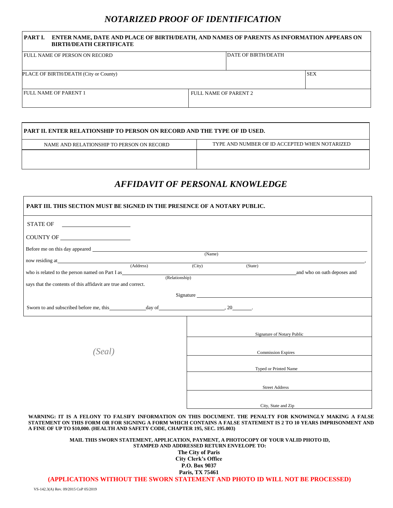# *NOTARIZED PROOF OF IDENTIFICATION*

| PART I. ENTER NAME, DATE AND PLACE OF BIRTH/DEATH, AND NAMES OF PARENTS AS INFORMATION APPEARS ON<br><b>BIRTH/DEATH CERTIFICATE</b> |                            |            |  |  |
|-------------------------------------------------------------------------------------------------------------------------------------|----------------------------|------------|--|--|
| <b>I FULL NAME OF PERSON ON RECORD</b>                                                                                              | <b>DATE OF BIRTH/DEATH</b> |            |  |  |
| PLACE OF BIRTH/DEATH (City or County)                                                                                               |                            | <b>SEX</b> |  |  |
| <b>FULL NAME OF PARENT 1</b>                                                                                                        | FULL NAME OF PARENT 2      |            |  |  |

| PART II. ENTER RELATIONSHIP TO PERSON ON RECORD AND THE TYPE OF ID USED. |                                               |  |  |
|--------------------------------------------------------------------------|-----------------------------------------------|--|--|
| NAME AND RELATIONSHIP TO PERSON ON RECORD                                | TYPE AND NUMBER OF ID ACCEPTED WHEN NOTARIZED |  |  |
|                                                                          |                                               |  |  |
|                                                                          |                                               |  |  |

# *AFFIDAVIT OF PERSONAL KNOWLEDGE*

| PART III. THIS SECTION MUST BE SIGNED IN THE PRESENCE OF A NOTARY PUBLIC.                                                                                                                                                                                                                                     |                |                           |                            |                                                                                                                                                                                                                                |
|---------------------------------------------------------------------------------------------------------------------------------------------------------------------------------------------------------------------------------------------------------------------------------------------------------------|----------------|---------------------------|----------------------------|--------------------------------------------------------------------------------------------------------------------------------------------------------------------------------------------------------------------------------|
| STATE OF                                                                                                                                                                                                                                                                                                      |                |                           |                            |                                                                                                                                                                                                                                |
|                                                                                                                                                                                                                                                                                                               |                |                           |                            |                                                                                                                                                                                                                                |
|                                                                                                                                                                                                                                                                                                               |                |                           |                            |                                                                                                                                                                                                                                |
|                                                                                                                                                                                                                                                                                                               |                | (Name)                    |                            |                                                                                                                                                                                                                                |
| now residing at (Address)                                                                                                                                                                                                                                                                                     |                | (City)                    | (State)                    |                                                                                                                                                                                                                                |
| who is related to the person named on Part I as                                                                                                                                                                                                                                                               | (Relationship) |                           |                            | and who on oath deposes and                                                                                                                                                                                                    |
| says that the contents of this affidavit are true and correct.                                                                                                                                                                                                                                                |                |                           |                            |                                                                                                                                                                                                                                |
|                                                                                                                                                                                                                                                                                                               |                |                           |                            | Signature experience and the state of the state of the state of the state of the state of the state of the state of the state of the state of the state of the state of the state of the state of the state of the state of th |
|                                                                                                                                                                                                                                                                                                               |                |                           |                            |                                                                                                                                                                                                                                |
|                                                                                                                                                                                                                                                                                                               |                |                           | Signature of Notary Public |                                                                                                                                                                                                                                |
| (Seal)                                                                                                                                                                                                                                                                                                        |                | <b>Commission Expires</b> |                            |                                                                                                                                                                                                                                |
|                                                                                                                                                                                                                                                                                                               |                |                           | Typed or Printed Name      |                                                                                                                                                                                                                                |
|                                                                                                                                                                                                                                                                                                               |                |                           |                            | Street Address                                                                                                                                                                                                                 |
|                                                                                                                                                                                                                                                                                                               |                |                           |                            | City, State and Zip                                                                                                                                                                                                            |
| WARNING: IT IS A FELONY TO FALSIFY INFORMATION ON THIS DOCUMENT. THE PENALTY FOR KNOWINGLY MAKING A FALSE<br>STATEMENT ON THIS FORM OR FOR SIGNING A FORM WHICH CONTAINS A FALSE STATEMENT IS 2 TO 10 YEARS IMPRISONMENT AND<br>A FINE OF UP TO \$10,000. (HEALTH AND SAFETY CODE, CHAPTER 195, SEC. 195.003) |                |                           |                            |                                                                                                                                                                                                                                |

**MAIL THIS SWORN STATEMENT, APPLICATION, PAYMENT, A PHOTOCOPY OF YOUR VALID PHOTO ID, STAMPED AND ADDRESSED RETURN ENVELOPE TO: The City of Paris City Clerk's Office P.O. Box 9037 Paris, TX 75461**

**(APPLICATIONS WITHOUT THE SWORN STATEMENT AND PHOTO ID WILL NOT BE PROCESSED)**

 $\mathsf{r}$ 

Г